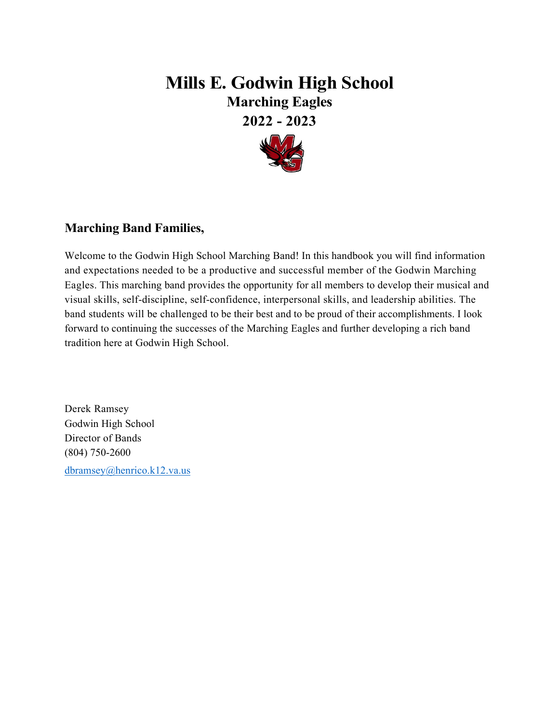# **Mills E. Godwin High School Marching Eagles 2022 - 2023**



# **Marching Band Families,**

Welcome to the Godwin High School Marching Band! In this handbook you will find information and expectations needed to be a productive and successful member of the Godwin Marching Eagles. This marching band provides the opportunity for all members to develop their musical and visual skills, self-discipline, self-confidence, interpersonal skills, and leadership abilities. The band students will be challenged to be their best and to be proud of their accomplishments. I look forward to continuing the successes of the Marching Eagles and further developing a rich band tradition here at Godwin High School.

Derek Ramsey Godwin High School Director of Bands (804) 750-2600

[dbramsey@henrico.k12.va.us](mailto:dbramsey@henrico.k12.va.us)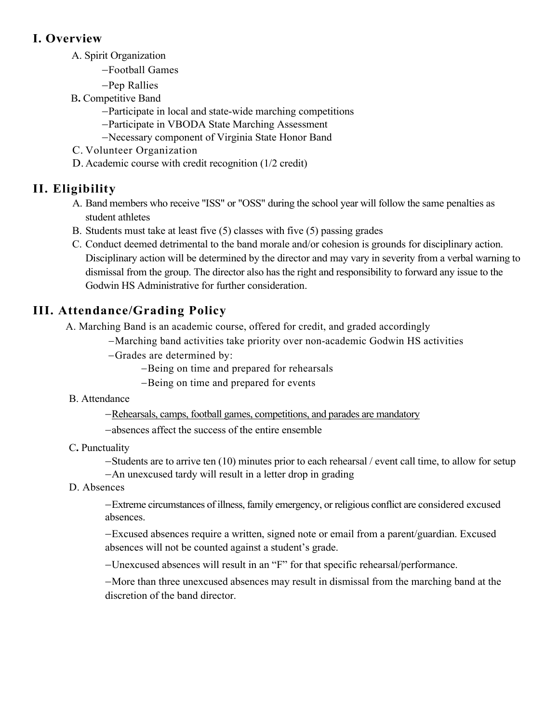# **I. Overview**

- A. Spirit Organization
	- −Football Games
	- −Pep Rallies
- B**.** Competitive Band
	- −Participate in local and state-wide marching competitions
	- −Participate in VBODA State Marching Assessment
	- −Necessary component of Virginia State Honor Band
- C. Volunteer Organization
- D. Academic course with credit recognition (1/2 credit)

# **II. Eligibility**

- A. Band members who receive "ISS" or "OSS" during the school year will follow the same penalties as student athletes
- B. Students must take at least five (5) classes with five (5) passing grades
- C. Conduct deemed detrimental to the band morale and/or cohesion is grounds for disciplinary action. Disciplinary action will be determined by the director and may vary in severity from a verbal warning to dismissal from the group. The director also has the right and responsibility to forward any issue to the Godwin HS Administrative for further consideration.

# **III. Attendance/Grading Policy**

A. Marching Band is an academic course, offered for credit, and graded accordingly

- −Marching band activities take priority over non-academic Godwin HS activities
- −Grades are determined by:
	- −Being on time and prepared for rehearsals
	- −Being on time and prepared for events
- B. Attendance

−Rehearsals, camps, football games, competitions, and parades are mandatory

- −absences affect the success of the entire ensemble
- C**.** Punctuality

−Students are to arrive ten (10) minutes prior to each rehearsal / event call time, to allow for setup

- −An unexcused tardy will result in a letter drop in grading
- D. Absences

−Extreme circumstances of illness, family emergency, or religious conflict are considered excused absences.

−Excused absences require a written, signed note or email from a parent/guardian. Excused absences will not be counted against a student's grade.

−Unexcused absences will result in an "F" for that specific rehearsal/performance.

−More than three unexcused absences may result in dismissal from the marching band at the discretion of the band director.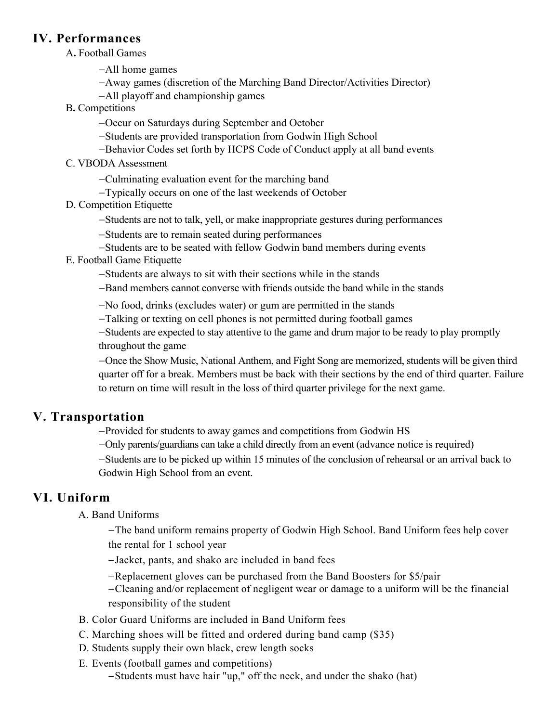#### **IV. Performances**

A**.** Football Games

−All home games

- −Away games (discretion of the Marching Band Director/Activities Director)
- −All playoff and championship games
- B**.** Competitions
	- −Occur on Saturdays during September and October
	- −Students are provided transportation from Godwin High School
	- −Behavior Codes set forth by HCPS Code of Conduct apply at all band events
- C. VBODA Assessment
	- −Culminating evaluation event for the marching band
	- −Typically occurs on one of the last weekends of October
- D. Competition Etiquette
	- −Students are not to talk, yell, or make inappropriate gestures during performances
	- −Students are to remain seated during performances
	- −Students are to be seated with fellow Godwin band members during events
- E. Football Game Etiquette
	- −Students are always to sit with their sections while in the stands
	- −Band members cannot converse with friends outside the band while in the stands

−No food, drinks (excludes water) or gum are permitted in the stands

−Talking or texting on cell phones is not permitted during football games

−Students are expected to stay attentive to the game and drum major to be ready to play promptly throughout the game

−Once the Show Music, National Anthem, and Fight Song are memorized, students will be given third quarter off for a break. Members must be back with their sections by the end of third quarter. Failure to return on time will result in the loss of third quarter privilege for the next game.

# **V. Transportation**

- −Provided for students to away games and competitions from Godwin HS
- −Only parents/guardians can take a child directly from an event (advance notice is required)
- −Students are to be picked up within 15 minutes of the conclusion of rehearsal or an arrival back to Godwin High School from an event.

# **VI. Uniform**

A. Band Uniforms

−The band uniform remains property of Godwin High School. Band Uniform fees help cover the rental for 1 school year

−Jacket, pants, and shako are included in band fees

−Replacement gloves can be purchased from the Band Boosters for \$5/pair

−Cleaning and/or replacement of negligent wear or damage to a uniform will be the financial responsibility of the student

- B. Color Guard Uniforms are included in Band Uniform fees
- C. Marching shoes will be fitted and ordered during band camp (\$35)
- D. Students supply their own black, crew length socks
- E. Events (football games and competitions)

−Students must have hair "up," off the neck, and under the shako (hat)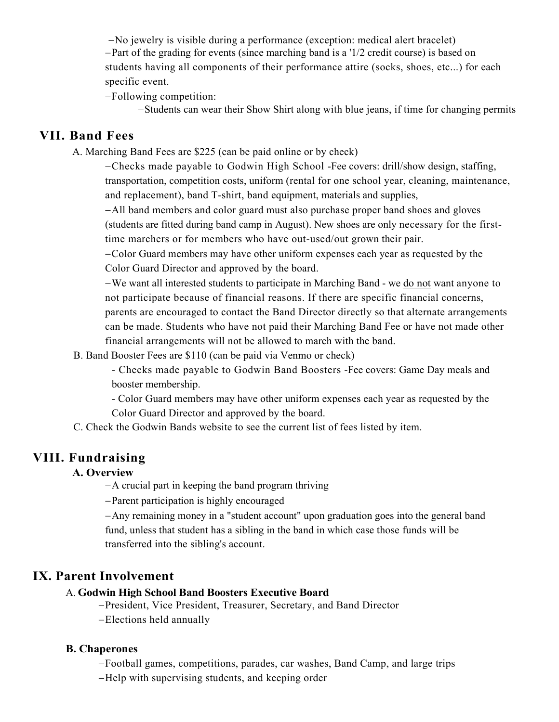−No jewelry is visible during a performance (exception: medical alert bracelet)

−Part of the grading for events (since marching band is a '1/2 credit course) is based on students having all components of their performance attire (socks, shoes, etc...) for each specific event.

−Following competition:

−Students can wear their Show Shirt along with blue jeans, if time for changing permits

### **VII. Band Fees**

A. Marching Band Fees are \$225 (can be paid online or by check)

−Checks made payable to Godwin High School -Fee covers: drill/show design, staffing, transportation, competition costs, uniform (rental for one school year, cleaning, maintenance, and replacement), band T-shirt, band equipment, materials and supplies,

−All band members and color guard must also purchase proper band shoes and gloves (students are fitted during band camp in August). New shoes are only necessary for the firsttime marchers or for members who have out-used/out grown their pair.

−Color Guard members may have other uniform expenses each year as requested by the Color Guard Director and approved by the board.

−We want all interested students to participate in Marching Band - we do not want anyone to not participate because of financial reasons. If there are specific financial concerns, parents are encouraged to contact the Band Director directly so that alternate arrangements can be made. Students who have not paid their Marching Band Fee or have not made other financial arrangements will not be allowed to march with the band.

B. Band Booster Fees are \$110 (can be paid via Venmo or check)

- Checks made payable to Godwin Band Boosters -Fee covers: Game Day meals and booster membership.

- Color Guard members may have other uniform expenses each year as requested by the Color Guard Director and approved by the board.

C. Check the Godwin Bands website to see the current list of fees listed by item.

# **VIII. Fundraising**

#### **A. Overview**

−A crucial part in keeping the band program thriving

−Parent participation is highly encouraged

−Any remaining money in a "student account" upon graduation goes into the general band fund, unless that student has a sibling in the band in which case those funds will be transferred into the sibling's account.

# **IX. Parent Involvement**

#### A. **Godwin High School Band Boosters Executive Board**

−President, Vice President, Treasurer, Secretary, and Band Director

−Elections held annually

#### **B. Chaperones**

−Football games, competitions, parades, car washes, Band Camp, and large trips

−Help with supervising students, and keeping order